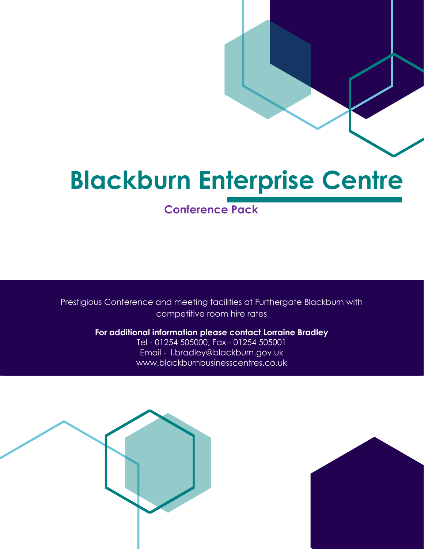**Conference Pack** 

Prestigious Conference and meeting facilities at Furthergate Blackburn with competitive room hire rates

> **For additional information please contact Lorraine Bradley** Tel - 01254 505000, Fax - 01254 505001 Email - l.bradley@blackburn.gov.uk www.blackburnbusinesscentres.co.uk



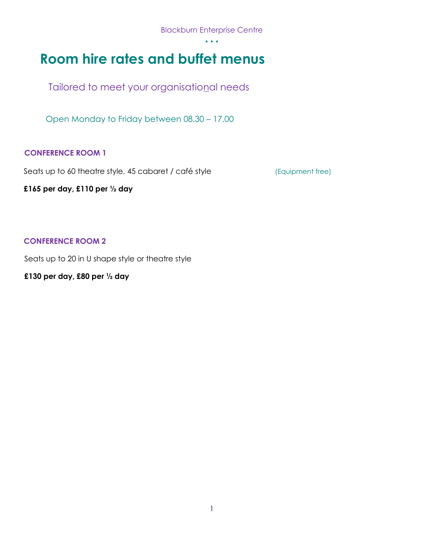**Room hire rates and buffet menus** 

Tailored to meet your organisational needs

Open Monday to Friday between 08.30 – 17.00

## **CONFERENCE ROOM 1**

Seats up to 60 theatre style, 45 cabaret / café style (Equipment free)

**£165 per day, £110 per ½ day**

**CONFERENCE ROOM 2** 

Seats up to 20 in U shape style or theatre style

**£130 per day, £80 per ½ day**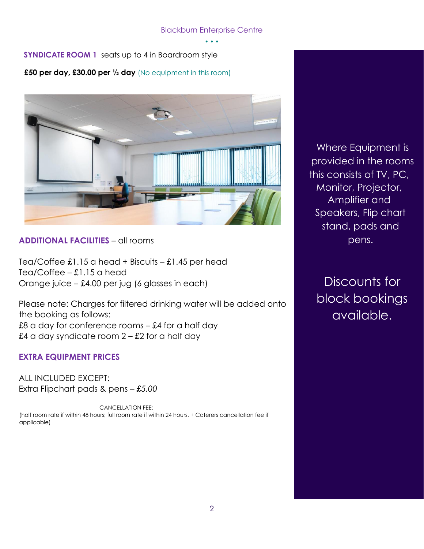**SYNDICATE ROOM 1** seats up to 4 in Boardroom style

**£50 per day, £30.00 per ½ day** (No equipment in this room)



# **ADDITIONAL FACILITIES** – all rooms

Tea/Coffee  $\pounds1.15$  a head + Biscuits –  $\pounds1.45$  per head Tea/Coffee – £1.15 a head Orange juice – £4.00 per jug (6 glasses in each)

Please note: Charges for filtered drinking water will be added onto the booking as follows: £8 a day for conference rooms  $-$  £4 for a half day £4 a day syndicate room  $2 - £2$  for a half day

# **EXTRA EQUIPMENT PRICES**

ALL INCLUDED EXCEPT: Extra Flipchart pads & pens – *£5.00* 

CANCELLATION FEE: (half room rate if within 48 hours; full room rate if within 24 hours. + Caterers cancellation fee if applicable)

Where Equipment is provided in the rooms this consists of TV, PC, Monitor, Projector, Amplifier and Speakers, Flip chart stand, pads and pens.

Discounts for block bookings available.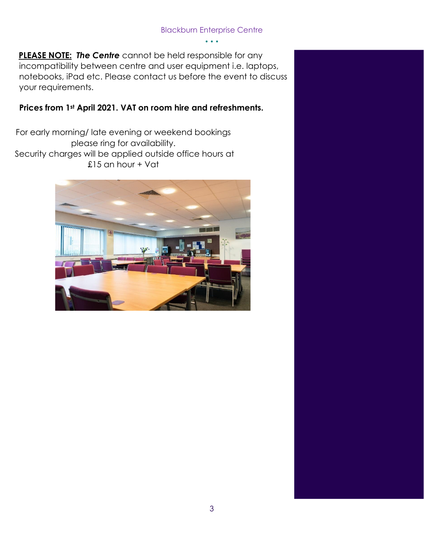**PLEASE NOTE:** *The Centre* cannot be held responsible for any incompatibility between centre and user equipment i.e. laptops, notebooks, iPad etc. Please contact us before the event to discuss your requirements.

# **Prices from 1st April 2021. VAT on room hire and refreshments.**

For early morning/ late evening or weekend bookings please ring for availability. Security charges will be applied outside office hours at £15 an hour + Vat

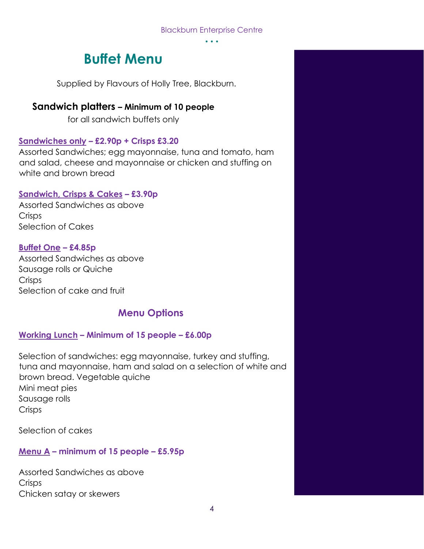• • •

# **Buffet Menu**

Supplied by Flavours of Holly Tree, Blackburn.

# **Sandwich platters – Minimum of 10 people**

for all sandwich buffets only

# **Sandwiches only – £2.90p + Crisps £3.20**

Assorted Sandwiches; egg mayonnaise, tuna and tomato, ham and salad, cheese and mayonnaise or chicken and stuffing on white and brown bread

# **Sandwich, Crisps & Cakes – £3.90p**

Assorted Sandwiches as above **Crisps** Selection of Cakes

# **Buffet One – £4.85p**

Assorted Sandwiches as above Sausage rolls or Quiche **Crisps** Selection of cake and fruit

# **Menu Options**

# **Working Lunch – Minimum of 15 people – £6.00p**

Selection of sandwiches: egg mayonnaise, turkey and stuffing, tuna and mayonnaise, ham and salad on a selection of white and brown bread. Vegetable quiche Mini meat pies Sausage rolls **Crisps** 

Selection of cakes

# **Menu A – minimum of 15 people – £5.95p**

Assorted Sandwiches as above **Crisps** Chicken satay or skewers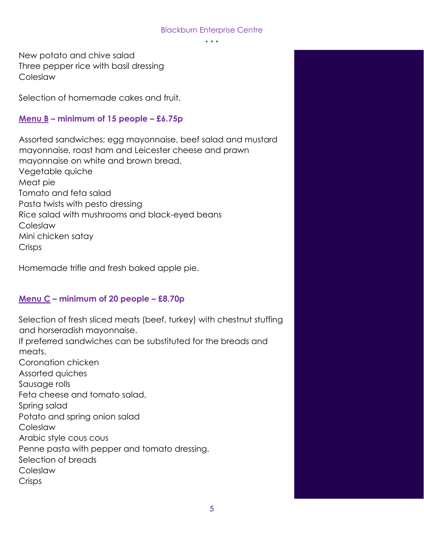• • •

New potato and chive salad Three pepper rice with basil dressing Coleslaw

Selection of homemade cakes and fruit.

## **Menu B – minimum of 15 people – £6.75p**

Assorted sandwiches; egg mayonnaise, beef salad and mustard mayonnaise, roast ham and Leicester cheese and prawn mayonnaise on white and brown bread. Vegetable quiche Meat pie Tomato and feta salad Pasta twists with pesto dressing Rice salad with mushrooms and black-eyed beans Coleslaw Mini chicken satay Crisps

Homemade trifle and fresh baked apple pie.

# **Menu C – minimum of 20 people – £8.70p**

Selection of fresh sliced meats (beef, turkey) with chestnut stuffing and horseradish mayonnaise.

If preferred sandwiches can be substituted for the breads and meats.

Coronation chicken Assorted quiches Sausage rolls Feta cheese and tomato salad, Spring salad Potato and spring onion salad Coleslaw Arabic style cous cous Penne pasta with pepper and tomato dressing. Selection of breads Coleslaw **Crisps**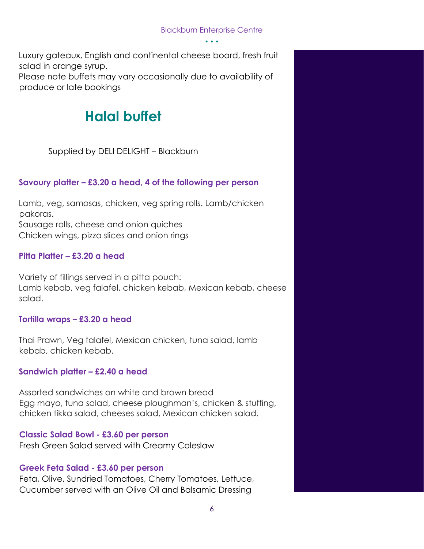Luxury gateaux, English and continental cheese board, fresh fruit salad in orange syrup. Please note buffets may vary occasionally due to availability of produce or late bookings

# **Halal buffet**

Supplied by DELI DELIGHT – Blackburn

# **Savoury platter – £3.20 a head, 4 of the following per person**

Lamb, veg, samosas, chicken, veg spring rolls. Lamb/chicken pakoras. Sausage rolls, cheese and onion quiches Chicken wings, pizza slices and onion rings

# **Pitta Platter – £3.20 a head**

Variety of fillings served in a pitta pouch: Lamb kebab, veg falafel, chicken kebab, Mexican kebab, cheese salad.

# **Tortilla wraps – £3.20 a head**

Thai Prawn, Veg falafel, Mexican chicken, tuna salad, lamb kebab, chicken kebab.

# **Sandwich platter – £2.40 a head**

Assorted sandwiches on white and brown bread Egg mayo, tuna salad, cheese ploughman's, chicken & stuffing, chicken tikka salad, cheeses salad, Mexican chicken salad.

# **Classic Salad Bowl - £3.60 per person**

Fresh Green Salad served with Creamy Coleslaw

# **Greek Feta Salad - £3.60 per person**

Feta, Olive, Sundried Tomatoes, Cherry Tomatoes, Lettuce, Cucumber served with an Olive Oil and Balsamic Dressing